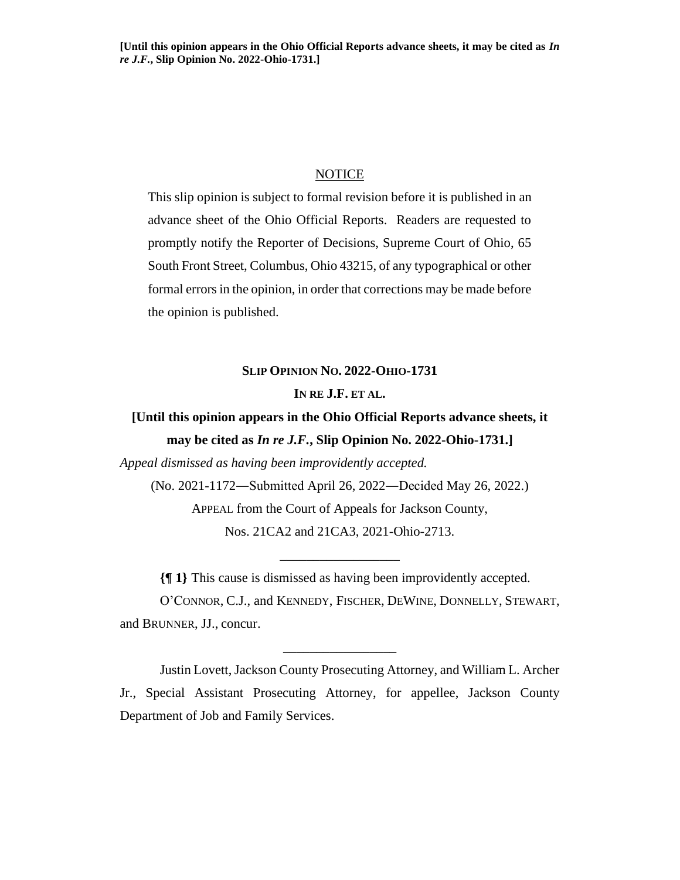## NOTICE

This slip opinion is subject to formal revision before it is published in an advance sheet of the Ohio Official Reports. Readers are requested to promptly notify the Reporter of Decisions, Supreme Court of Ohio, 65 South Front Street, Columbus, Ohio 43215, of any typographical or other formal errors in the opinion, in order that corrections may be made before the opinion is published.

## **SLIP OPINION NO. 2022-OHIO-1731**

## **IN RE J.F. ET AL.**

## **[Until this opinion appears in the Ohio Official Reports advance sheets, it may be cited as** *In re J.F.***, Slip Opinion No. 2022-Ohio-1731.]**

*Appeal dismissed as having been improvidently accepted.*

(No. 2021-1172―Submitted April 26, 2022―Decided May 26, 2022.)

APPEAL from the Court of Appeals for Jackson County, Nos. 21CA2 and 21CA3, 2021-Ohio-2713.

\_\_\_\_\_\_\_\_\_\_\_\_\_\_\_\_\_\_

**{¶ 1}** This cause is dismissed as having been improvidently accepted.

O'CONNOR, C.J., and KENNEDY, FISCHER, DEWINE, DONNELLY, STEWART, and BRUNNER, JJ., concur.

\_\_\_\_\_\_\_\_\_\_\_\_\_\_\_\_\_

Justin Lovett, Jackson County Prosecuting Attorney, and William L. Archer Jr., Special Assistant Prosecuting Attorney, for appellee, Jackson County Department of Job and Family Services.